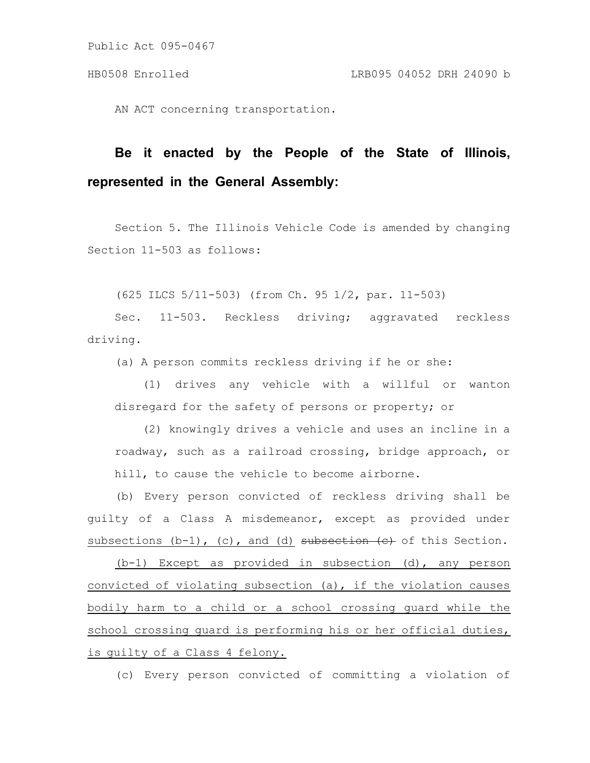AN ACT concerning transportation.

# **Be it enacted by the People of the State of Illinois, represented in the General Assembly:**

Section 5. The Illinois Vehicle Code is amended by changing Section 11-503 as follows:

(625 ILCS 5/11-503) (from Ch. 95 1/2, par. 11-503)

Sec. 11-503. Reckless driving; aggravated reckless driving.

(a) A person commits reckless driving if he or she:

(1) drives any vehicle with a willful or wanton disregard for the safety of persons or property; or

(2) knowingly drives a vehicle and uses an incline in a roadway, such as a railroad crossing, bridge approach, or hill, to cause the vehicle to become airborne.

(b) Every person convicted of reckless driving shall be guilty of a Class A misdemeanor, except as provided under subsections  $(b-1)$ ,  $(c)$ , and  $(d)$  subsection  $(e)$  of this Section.

(b-1) Except as provided in subsection (d), any person convicted of violating subsection (a), if the violation causes bodily harm to a child or a school crossing guard while the school crossing quard is performing his or her official duties, is guilty of a Class 4 felony.

(c) Every person convicted of committing a violation of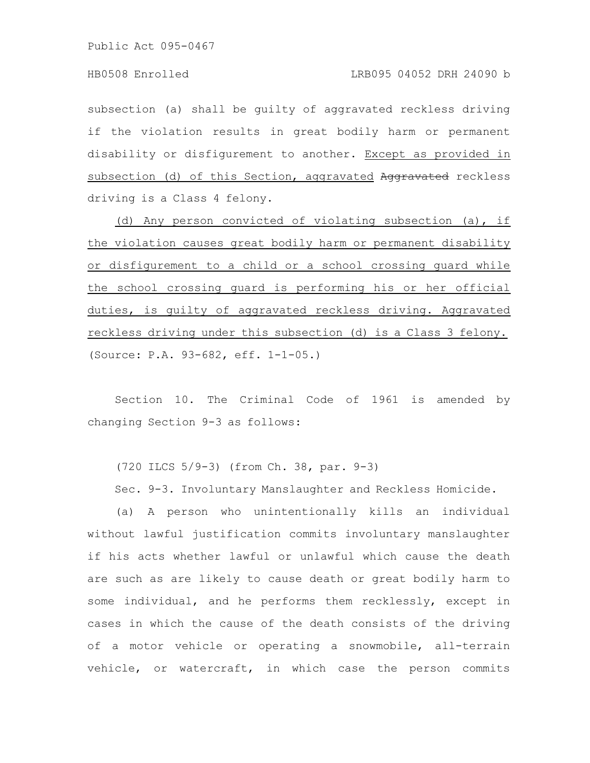subsection (a) shall be guilty of aggravated reckless driving if the violation results in great bodily harm or permanent disability or disfigurement to another. Except as provided in subsection (d) of this Section, aggravated Aggravated reckless driving is a Class 4 felony.

(d) Any person convicted of violating subsection (a), if the violation causes great bodily harm or permanent disability or disfigurement to a child or a school crossing guard while the school crossing guard is performing his or her official duties, is guilty of aggravated reckless driving. Aggravated reckless driving under this subsection (d) is a Class 3 felony. (Source: P.A. 93-682, eff. 1-1-05.)

Section 10. The Criminal Code of 1961 is amended by changing Section 9-3 as follows:

(720 ILCS 5/9-3) (from Ch. 38, par. 9-3)

Sec. 9-3. Involuntary Manslaughter and Reckless Homicide.

(a) A person who unintentionally kills an individual without lawful justification commits involuntary manslaughter if his acts whether lawful or unlawful which cause the death are such as are likely to cause death or great bodily harm to some individual, and he performs them recklessly, except in cases in which the cause of the death consists of the driving of a motor vehicle or operating a snowmobile, all-terrain vehicle, or watercraft, in which case the person commits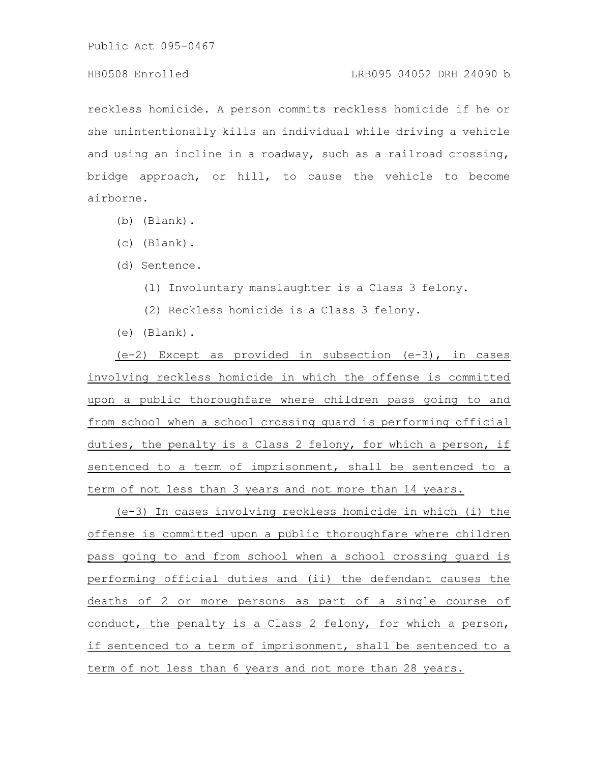## HB0508 Enrolled LRB095 04052 DRH 24090 b

reckless homicide. A person commits reckless homicide if he or she unintentionally kills an individual while driving a vehicle and using an incline in a roadway, such as a railroad crossing, bridge approach, or hill, to cause the vehicle to become airborne.

- (b) (Blank).
- (c) (Blank).
- (d) Sentence.
	- (1) Involuntary manslaughter is a Class 3 felony.
	- (2) Reckless homicide is a Class 3 felony.
- (e) (Blank).

(e-2) Except as provided in subsection (e-3), in cases involving reckless homicide in which the offense is committed upon a public thoroughfare where children pass going to and from school when a school crossing guard is performing official duties, the penalty is a Class 2 felony, for which a person, if sentenced to a term of imprisonment, shall be sentenced to a term of not less than 3 years and not more than 14 years.

(e-3) In cases involving reckless homicide in which (i) the offense is committed upon a public thoroughfare where children pass going to and from school when a school crossing guard is performing official duties and (ii) the defendant causes the deaths of 2 or more persons as part of a single course of conduct, the penalty is a Class 2 felony, for which a person, if sentenced to a term of imprisonment, shall be sentenced to a term of not less than 6 years and not more than 28 years.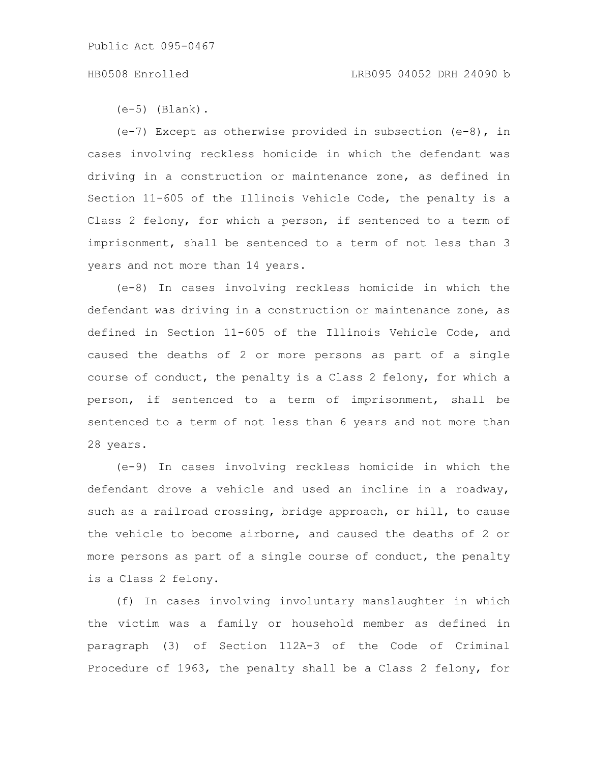### HB0508 Enrolled LRB095 04052 DRH 24090 b

 $(e-5)$  (Blank).

 $(e-7)$  Except as otherwise provided in subsection  $(e-8)$ , in cases involving reckless homicide in which the defendant was driving in a construction or maintenance zone, as defined in Section 11-605 of the Illinois Vehicle Code, the penalty is a Class 2 felony, for which a person, if sentenced to a term of imprisonment, shall be sentenced to a term of not less than 3 years and not more than 14 years.

(e-8) In cases involving reckless homicide in which the defendant was driving in a construction or maintenance zone, as defined in Section 11-605 of the Illinois Vehicle Code, and caused the deaths of 2 or more persons as part of a single course of conduct, the penalty is a Class 2 felony, for which a person, if sentenced to a term of imprisonment, shall be sentenced to a term of not less than 6 years and not more than 28 years.

(e-9) In cases involving reckless homicide in which the defendant drove a vehicle and used an incline in a roadway, such as a railroad crossing, bridge approach, or hill, to cause the vehicle to become airborne, and caused the deaths of 2 or more persons as part of a single course of conduct, the penalty is a Class 2 felony.

(f) In cases involving involuntary manslaughter in which the victim was a family or household member as defined in paragraph (3) of Section 112A-3 of the Code of Criminal Procedure of 1963, the penalty shall be a Class 2 felony, for